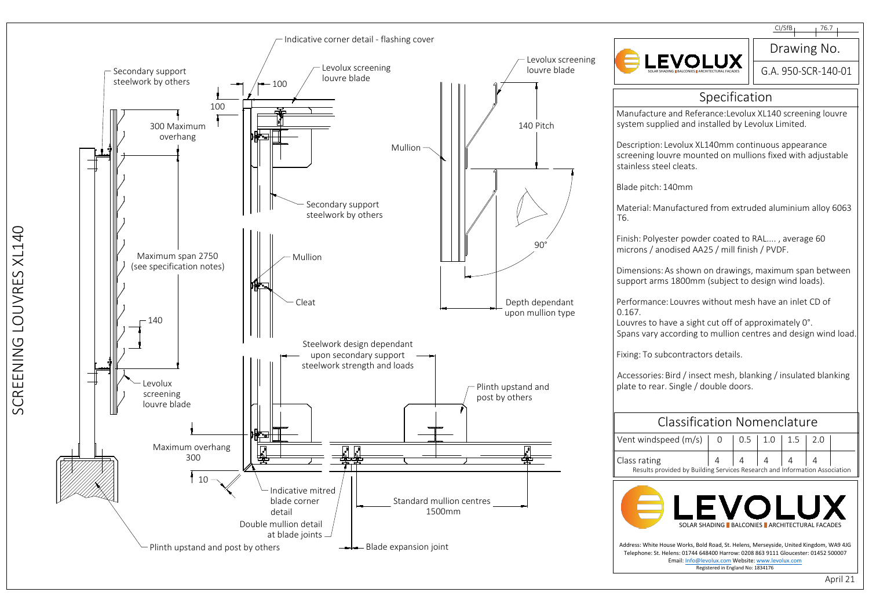